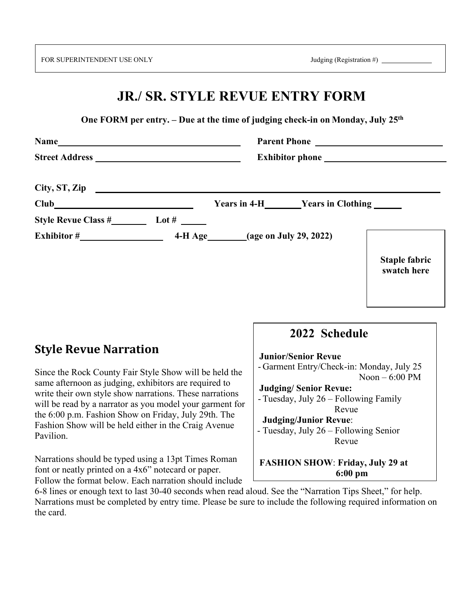FOR SUPERINTENDENT USE ONLY Judging (Registration #)

## **JR./ SR. STYLE REVUE ENTRY FORM**

 **One FORM per entry. – Due at the time of judging check-in on Monday, July 25th**

| City, ST, Zip                                                                                                                                                                                                                                                                  |                                                |                                     |
|--------------------------------------------------------------------------------------------------------------------------------------------------------------------------------------------------------------------------------------------------------------------------------|------------------------------------------------|-------------------------------------|
| $Club$ and $Club$ and $Club$ and $Club$ and $Club$ and $Club$ and $Club$ and $Club$ and $Club$ and $Club$ and $Club$ and $Club$ and $Club$ and $Club$ and $Club$ and $Club$ and $Club$ and $Club$ and $Club$ and $Club$ and $Club$ and $Club$ and $Club$ and $Club$ and $Club$ | Years in 4-H_________Years in Clothing _______ |                                     |
| Lot # $\rule{1em}{0.15mm}$                                                                                                                                                                                                                                                     |                                                |                                     |
| Exhibitor $\#$                                                                                                                                                                                                                                                                 | 4-H Age_________(age on July 29, 2022)         |                                     |
|                                                                                                                                                                                                                                                                                |                                                | <b>Staple fabric</b><br>swatch here |

## **Style Revue Narration**

Since the Rock County Fair Style Show will be held the same afternoon as judging, exhibitors are required to write their own style show narrations. These narrations will be read by a narrator as you model your garment for the 6:00 p.m. Fashion Show on Friday, July 29th. The Fashion Show will be held either in the Craig Avenue Pavilion.

Narrations should be typed using a 13pt Times Roman font or neatly printed on a 4x6" notecard or paper. Follow the format below. Each narration should include

## **2022 Schedule**

**Junior/Senior Revue**

- Garment Entry/Check-in: Monday, July 25 Noon – 6:00 PM

**Judging/ Senior Revue:**

- Tuesday, July 26 – Following Family Revue

**Judging/Junior Revue**:

- Tuesday, July 26 – Following Senior Revue

**FASHION SHOW**: **Friday, July 29 at 6:00 pm**

6-8 lines or enough text to last 30-40 seconds when read aloud. See the "Narration Tips Sheet," for help. Narrations must be completed by entry time. Please be sure to include the following required information on the card.